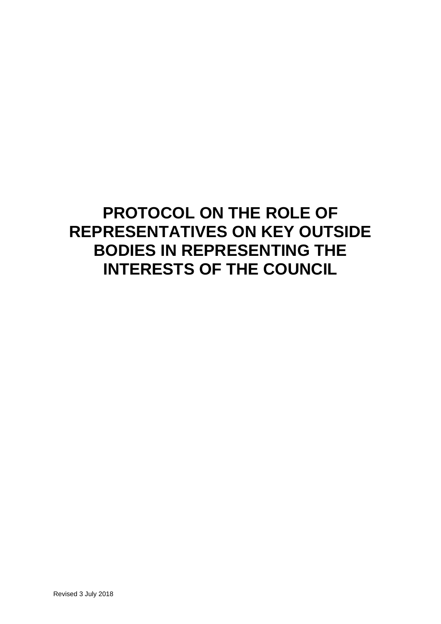## **PROTOCOL ON THE ROLE OF REPRESENTATIVES ON KEY OUTSIDE BODIES IN REPRESENTING THE INTERESTS OF THE COUNCIL**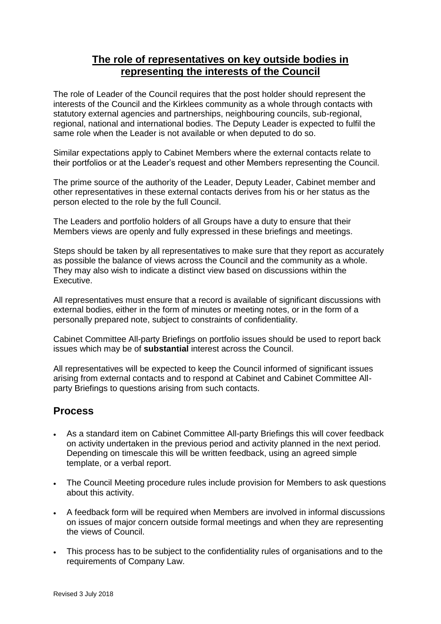## **The role of representatives on key outside bodies in representing the interests of the Council**

The role of Leader of the Council requires that the post holder should represent the interests of the Council and the Kirklees community as a whole through contacts with statutory external agencies and partnerships, neighbouring councils, sub-regional, regional, national and international bodies. The Deputy Leader is expected to fulfil the same role when the Leader is not available or when deputed to do so.

Similar expectations apply to Cabinet Members where the external contacts relate to their portfolios or at the Leader's request and other Members representing the Council.

The prime source of the authority of the Leader, Deputy Leader, Cabinet member and other representatives in these external contacts derives from his or her status as the person elected to the role by the full Council.

The Leaders and portfolio holders of all Groups have a duty to ensure that their Members views are openly and fully expressed in these briefings and meetings.

Steps should be taken by all representatives to make sure that they report as accurately as possible the balance of views across the Council and the community as a whole. They may also wish to indicate a distinct view based on discussions within the Executive.

All representatives must ensure that a record is available of significant discussions with external bodies, either in the form of minutes or meeting notes, or in the form of a personally prepared note, subject to constraints of confidentiality.

Cabinet Committee All-party Briefings on portfolio issues should be used to report back issues which may be of **substantial** interest across the Council.

All representatives will be expected to keep the Council informed of significant issues arising from external contacts and to respond at Cabinet and Cabinet Committee Allparty Briefings to questions arising from such contacts.

## **Process**

- As a standard item on Cabinet Committee All-party Briefings this will cover feedback on activity undertaken in the previous period and activity planned in the next period. Depending on timescale this will be written feedback, using an agreed simple template, or a verbal report.
- The Council Meeting procedure rules include provision for Members to ask questions about this activity.
- A feedback form will be required when Members are involved in informal discussions on issues of major concern outside formal meetings and when they are representing the views of Council.
- This process has to be subject to the confidentiality rules of organisations and to the requirements of Company Law.